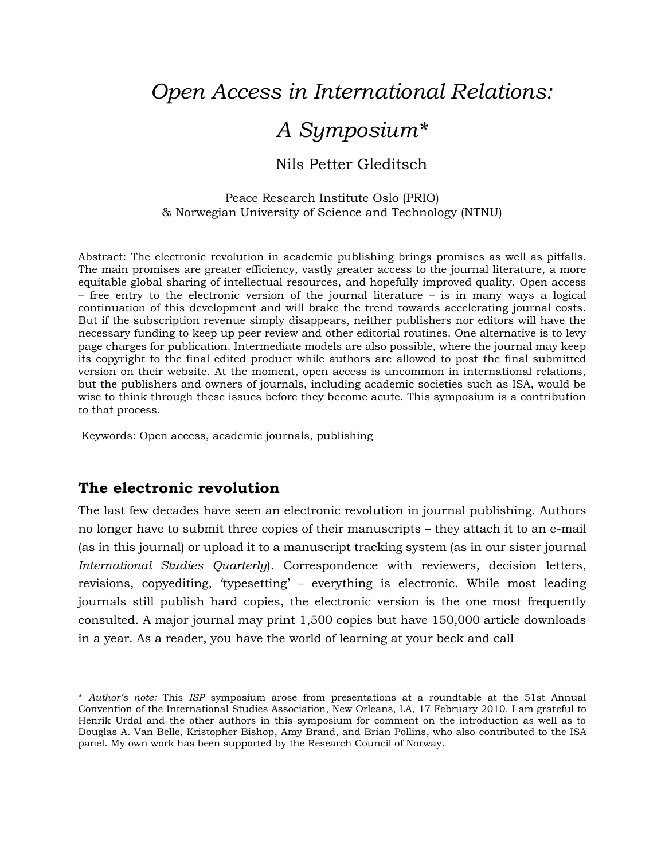# *Open Access in International Relations:*

# *A Symposium\**

### Nils Petter Gleditsch

Peace Research Institute Oslo (PRIO) & Norwegian University of Science and Technology (NTNU)

Abstract: The electronic revolution in academic publishing brings promises as well as pitfalls. The main promises are greater efficiency, vastly greater access to the journal literature, a more equitable global sharing of intellectual resources, and hopefully improved quality. Open access – free entry to the electronic version of the journal literature – is in many ways a logical continuation of this development and will brake the trend towards accelerating journal costs. But if the subscription revenue simply disappears, neither publishers nor editors will have the necessary funding to keep up peer review and other editorial routines. One alternative is to levy page charges for publication. Intermediate models are also possible, where the journal may keep its copyright to the final edited product while authors are allowed to post the final submitted version on their website. At the moment, open access is uncommon in international relations, but the publishers and owners of journals, including academic societies such as ISA, would be wise to think through these issues before they become acute. This symposium is a contribution to that process.

Keywords: Open access, academic journals, publishing

#### **The electronic revolution**

The last few decades have seen an electronic revolution in journal publishing. Authors no longer have to submit three copies of their manuscripts – they attach it to an e-mail (as in this journal) or upload it to a manuscript tracking system (as in our sister journal *International Studies Quarterly*). Correspondence with reviewers, decision letters, revisions, copyediting, 'typesetting' – everything is electronic. While most leading journals still publish hard copies, the electronic version is the one most frequently consulted. A major journal may print 1,500 copies but have 150,000 article downloads in a year. As a reader, you have the world of learning at your beck and call

<sup>\*</sup> *Author's note:* This *ISP* symposium arose from presentations at a roundtable at the 51st Annual Convention of the International Studies Association, New Orleans, LA, 17 February 2010. I am grateful to Henrik Urdal and the other authors in this symposium for comment on the introduction as well as to Douglas A. Van Belle, Kristopher Bishop, Amy Brand, and Brian Pollins, who also contributed to the ISA panel. My own work has been supported by the Research Council of Norway.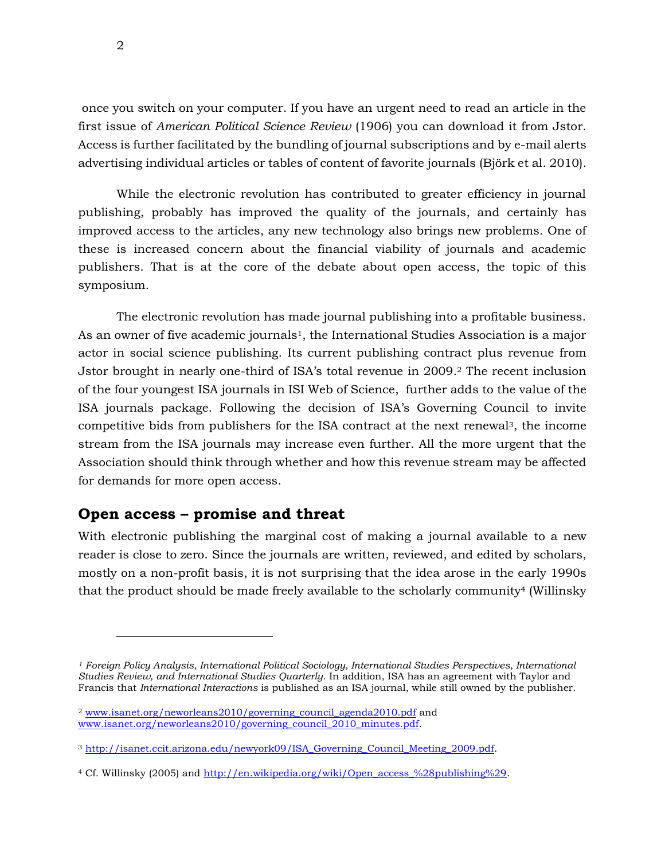once you switch on your computer. If you have an urgent need to read an article in the first issue of *American Political Science Review* (1906) you can download it from Jstor. Access is further facilitated by the bundling of journal subscriptions and by e-mail alerts advertising individual articles or tables of content of favorite journals (Björk et al. 2010).

While the electronic revolution has contributed to greater efficiency in journal publishing, probably has improved the quality of the journals, and certainly has improved access to the articles, any new technology also brings new problems. One of these is increased concern about the financial viability of journals and academic publishers. That is at the core of the debate about open access, the topic of this symposium.

The electronic revolution has made journal publishing into a profitable business. As an owner of five academic journals<sup>1</sup>, the International Studies Association is a major actor in social science publishing. Its current publishing contract plus revenue from Jstor brought in nearly one-third of ISA's total revenue in 2009. <sup>2</sup> The recent inclusion of the four youngest ISA journals in ISI Web of Science, further adds to the value of the ISA journals package. Following the decision of ISA's Governing Council to invite competitive bids from publishers for the ISA contract at the next renewal3, the income stream from the ISA journals may increase even further. All the more urgent that the Association should think through whether and how this revenue stream may be affected for demands for more open access.

### **Open access – promise and threat**

-

With electronic publishing the marginal cost of making a journal available to a new reader is close to zero. Since the journals are written, reviewed, and edited by scholars, mostly on a non-profit basis, it is not surprising that the idea arose in the early 1990s that the product should be made freely available to the scholarly community<sup>4</sup> (Willinsky

*<sup>1</sup> Foreign Policy Analysis, International Political Sociology, International Studies Perspectives, International Studies Review, and International Studies Quarterly.* In addition, ISA has an agreement with Taylor and Francis that *International Interactions* is published as an ISA journal, while still owned by the publisher.

<sup>2</sup> [www.isanet.org/neworleans2010/governing\\_council\\_agenda2010.pdf](http://www.isanet.org/neworleans2010/governing_council_agenda2010.pdf) and [www.isanet.org/neworleans2010/governing\\_council\\_2010\\_minutes.pdf.](http://www.isanet.org/neworleans2010/governing_council_2010_minutes.pdf)

<sup>3</sup> [http://isanet.ccit.arizona.edu/newyork09/ISA\\_Governing\\_Council\\_Meeting\\_2009.pdf.](http://isanet.ccit.arizona.edu/newyork09/ISA_Governing_Council_Meeting_2009.pdf)

<sup>4</sup> Cf. Willinsky (2005) and [http://en.wikipedia.org/wiki/Open\\_access\\_%28publishing%29.](http://en.wikipedia.org/wiki/Open_access_%28publishing%29)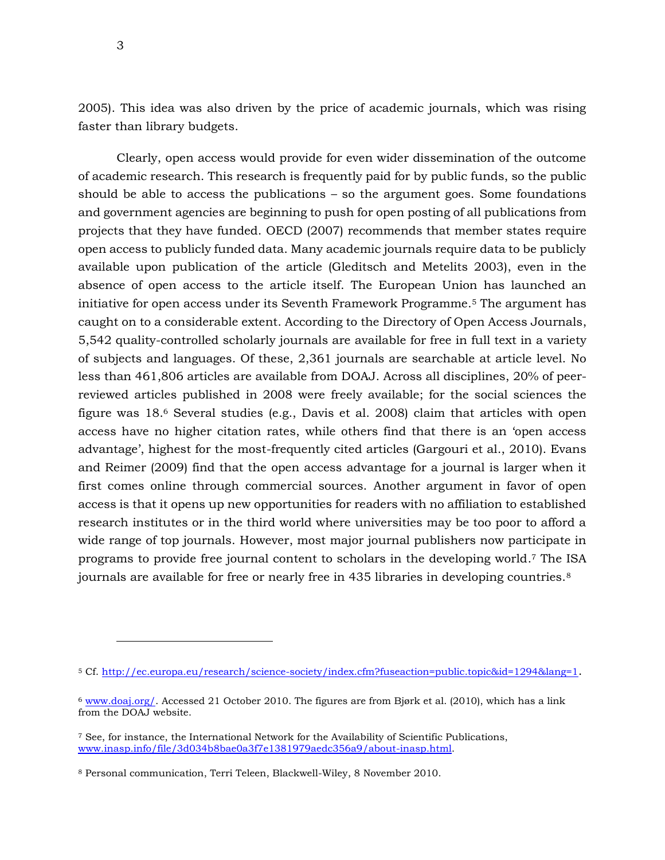2005). This idea was also driven by the price of academic journals, which was rising faster than library budgets.

Clearly, open access would provide for even wider dissemination of the outcome of academic research. This research is frequently paid for by public funds, so the public should be able to access the publications – so the argument goes. Some foundations and government agencies are beginning to push for open posting of all publications from projects that they have funded. OECD (2007) recommends that member states require open access to publicly funded data. Many academic journals require data to be publicly available upon publication of the article (Gleditsch and Metelits 2003), even in the absence of open access to the article itself. The European Union has launched an initiative for open access under its Seventh Framework Programme.<sup>5</sup> The argument has caught on to a considerable extent. According to the Directory of Open Access Journals, 5,542 quality-controlled scholarly journals are available for free in full text in a variety of subjects and languages. Of these, 2,361 journals are searchable at article level. No less than 461,806 articles are available from DOAJ. Across all disciplines, 20% of peerreviewed articles published in 2008 were freely available; for the social sciences the figure was 18. <sup>6</sup> Several studies (e.g., Davis et al. 2008) claim that articles with open access have no higher citation rates, while others find that there is an 'open access advantage', highest for the most-frequently cited articles (Gargouri et al., 2010). Evans and Reimer (2009) find that the open access advantage for a journal is larger when it first comes online through commercial sources. Another argument in favor of open access is that it opens up new opportunities for readers with no affiliation to established research institutes or in the third world where universities may be too poor to afford a wide range of top journals. However, most major journal publishers now participate in programs to provide free journal content to scholars in the developing world. <sup>7</sup> The ISA journals are available for free or nearly free in 435 libraries in developing countries.<sup>8</sup>

<sup>5</sup> Cf.<http://ec.europa.eu/research/science-society/index.cfm?fuseaction=public.topic&id=1294&lang=1>.

<sup>6</sup> [www.doaj.org/.](http://www.doaj.org/) Accessed 21 October 2010. The figures are from Bjørk et al. (2010), which has a link from the DOAJ website.

<sup>7</sup> See, for instance, the International Network for the Availability of Scientific Publications, [www.inasp.info/file/3d034b8bae0a3f7e1381979aedc356a9/about-inasp.html.](http://www.inasp.info/file/3d034b8bae0a3f7e1381979aedc356a9/about-inasp.html)

<sup>8</sup> Personal communication, Terri Teleen, Blackwell-Wiley, 8 November 2010.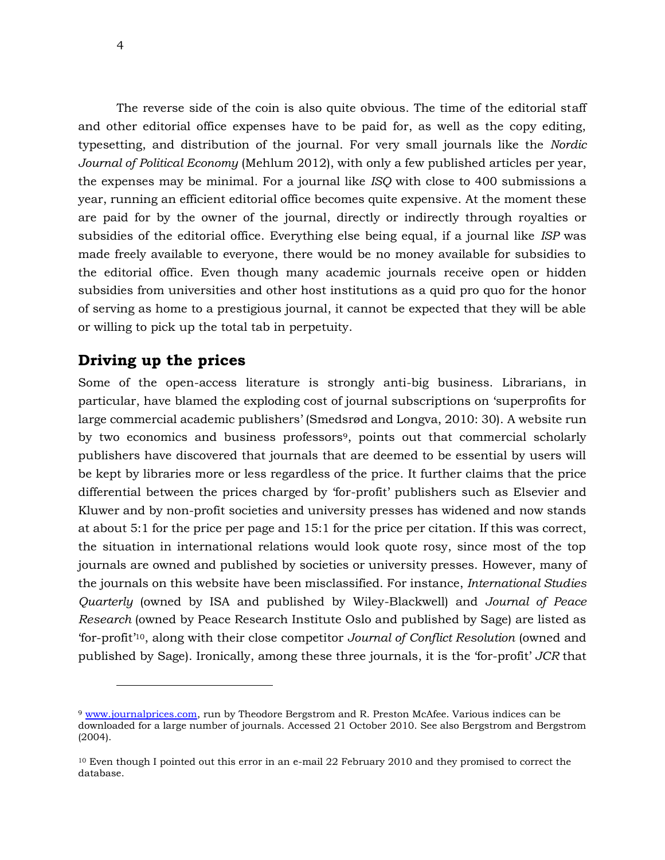The reverse side of the coin is also quite obvious. The time of the editorial staff and other editorial office expenses have to be paid for, as well as the copy editing, typesetting, and distribution of the journal. For very small journals like the *Nordic Journal of Political Economy* (Mehlum 2012), with only a few published articles per year, the expenses may be minimal. For a journal like *ISQ* with close to 400 submissions a year, running an efficient editorial office becomes quite expensive. At the moment these are paid for by the owner of the journal, directly or indirectly through royalties or subsidies of the editorial office. Everything else being equal, if a journal like *ISP* was made freely available to everyone, there would be no money available for subsidies to the editorial office. Even though many academic journals receive open or hidden subsidies from universities and other host institutions as a quid pro quo for the honor of serving as home to a prestigious journal, it cannot be expected that they will be able or willing to pick up the total tab in perpetuity.

### **Driving up the prices**

j

Some of the open-access literature is strongly anti-big business. Librarians, in particular, have blamed the exploding cost of journal subscriptions on 'superprofits for large commercial academic publishers' (Smedsrød and Longva, 2010: 30). A website run by two economics and business professors<sup>9</sup>, points out that commercial scholarly publishers have discovered that journals that are deemed to be essential by users will be kept by libraries more or less regardless of the price. It further claims that the price differential between the prices charged by 'for-profit' publishers such as Elsevier and Kluwer and by non-profit societies and university presses has widened and now stands at about 5:1 for the price per page and 15:1 for the price per citation. If this was correct, the situation in international relations would look quote rosy, since most of the top journals are owned and published by societies or university presses. However, many of the journals on this website have been misclassified. For instance, *International Studies Quarterly* (owned by ISA and published by Wiley-Blackwell) and *Journal of Peace Research* (owned by Peace Research Institute Oslo and published by Sage) are listed as 'for-profit'10, along with their close competitor *Journal of Conflict Resolution* (owned and published by Sage). Ironically, among these three journals, it is the 'for-profit' *JCR* that

<sup>9</sup> [www.journalprices.com,](http://www.journalprices.com/) run by Theodore Bergstrom and R. Preston McAfee. Various indices can be downloaded for a large number of journals. Accessed 21 October 2010. See also Bergstrom and Bergstrom (2004).

<sup>10</sup> Even though I pointed out this error in an e-mail 22 February 2010 and they promised to correct the database.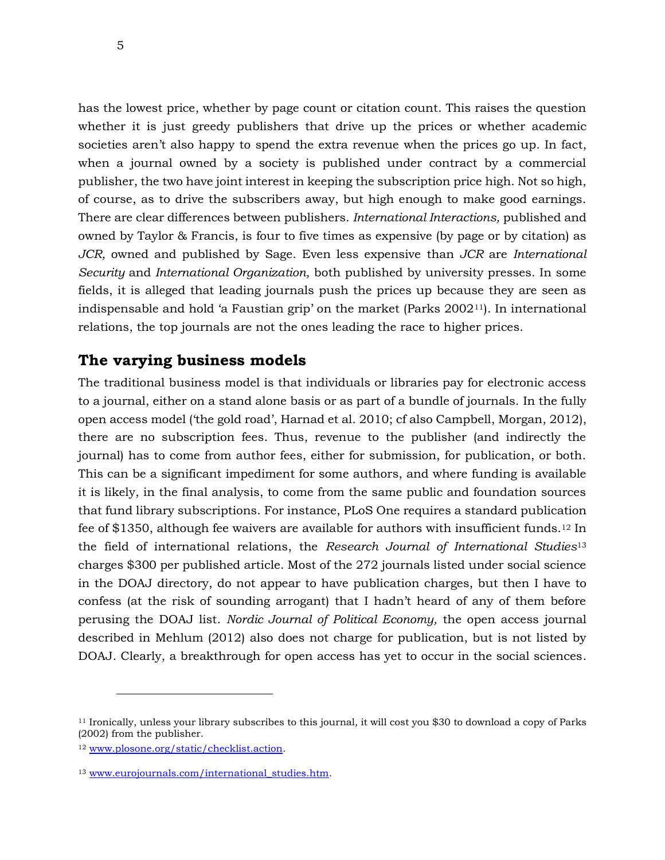has the lowest price, whether by page count or citation count. This raises the question whether it is just greedy publishers that drive up the prices or whether academic societies aren't also happy to spend the extra revenue when the prices go up. In fact, when a journal owned by a society is published under contract by a commercial publisher, the two have joint interest in keeping the subscription price high. Not so high, of course, as to drive the subscribers away, but high enough to make good earnings. There are clear differences between publishers. *International Interactions,* published and owned by Taylor & Francis, is four to five times as expensive (by page or by citation) as *JCR,* owned and published by Sage. Even less expensive than *JCR* are *International Security* and *International Organization,* both published by university presses. In some fields, it is alleged that leading journals push the prices up because they are seen as indispensable and hold 'a Faustian grip' on the market (Parks 200211). In international relations, the top journals are not the ones leading the race to higher prices.

#### **The varying business models**

The traditional business model is that individuals or libraries pay for electronic access to a journal, either on a stand alone basis or as part of a bundle of journals. In the fully open access model ('the gold road', Harnad et al. 2010; cf also Campbell, Morgan, 2012), there are no subscription fees. Thus, revenue to the publisher (and indirectly the journal) has to come from author fees, either for submission, for publication, or both. This can be a significant impediment for some authors, and where funding is available it is likely, in the final analysis, to come from the same public and foundation sources that fund library subscriptions. For instance, PLoS One requires a standard publication fee of \$1350, although fee waivers are available for authors with insufficient funds.<sup>12</sup> In the field of international relations, the *Research Journal of International Studies*<sup>13</sup> charges \$300 per published article. Most of the 272 journals listed under social science in the DOAJ directory, do not appear to have publication charges, but then I have to confess (at the risk of sounding arrogant) that I hadn't heard of any of them before perusing the DOAJ list. *Nordic Journal of Political Economy,* the open access journal described in Mehlum (2012) also does not charge for publication, but is not listed by DOAJ. Clearly, a breakthrough for open access has yet to occur in the social sciences.

<sup>11</sup> Ironically, unless your library subscribes to this journal, it will cost you \$30 to download a copy of Parks (2002) from the publisher.

<sup>12</sup> [www.plosone.org/static/checklist.action.](http://www.plosone.org/static/checklist.action)

<sup>13</sup> [www.eurojournals.com/international\\_studies.htm.](http://www.eurojournals.com/international_studies.htm)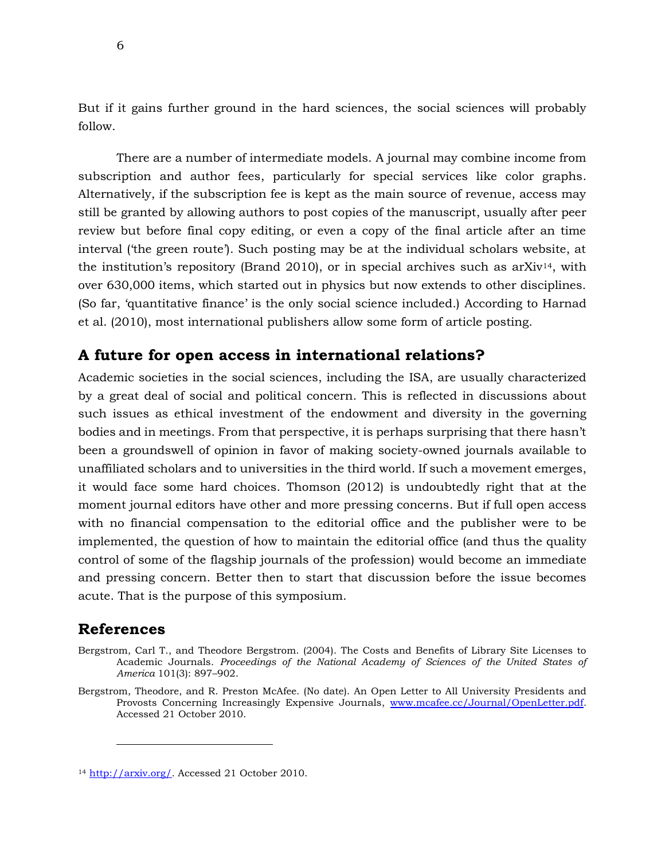But if it gains further ground in the hard sciences, the social sciences will probably follow.

There are a number of intermediate models. A journal may combine income from subscription and author fees, particularly for special services like color graphs. Alternatively, if the subscription fee is kept as the main source of revenue, access may still be granted by allowing authors to post copies of the manuscript, usually after peer review but before final copy editing, or even a copy of the final article after an time interval ('the green route'). Such posting may be at the individual scholars website, at the institution's repository (Brand 2010), or in special archives such as  $arXiv^{14}$ , with over 630,000 items, which started out in physics but now extends to other disciplines. (So far, 'quantitative finance' is the only social science included.) According to Harnad et al. (2010), most international publishers allow some form of article posting.

## **A future for open access in international relations?**

Academic societies in the social sciences, including the ISA, are usually characterized by a great deal of social and political concern. This is reflected in discussions about such issues as ethical investment of the endowment and diversity in the governing bodies and in meetings. From that perspective, it is perhaps surprising that there hasn't been a groundswell of opinion in favor of making society-owned journals available to unaffiliated scholars and to universities in the third world. If such a movement emerges, it would face some hard choices. Thomson (2012) is undoubtedly right that at the moment journal editors have other and more pressing concerns. But if full open access with no financial compensation to the editorial office and the publisher were to be implemented, the question of how to maintain the editorial office (and thus the quality control of some of the flagship journals of the profession) would become an immediate and pressing concern. Better then to start that discussion before the issue becomes acute. That is the purpose of this symposium.

## **References**

-

- Bergstrom, Carl T., and Theodore Bergstrom. (2004). The Costs and Benefits of Library Site Licenses to Academic Journals. *Proceedings of the National Academy of Sciences of the United States of America* 101(3): 897–902.
- Bergstrom, Theodore, and R. Preston McAfee. (No date). An Open Letter to All University Presidents and Provosts Concerning Increasingly Expensive Journals, [www.mcafee.cc/Journal/OpenLetter.pdf.](http://www.mcafee.cc/Journal/OpenLetter.pdf) Accessed 21 October 2010.

<sup>14</sup> [http://arxiv.org/.](http://arxiv.org/) Accessed 21 October 2010.